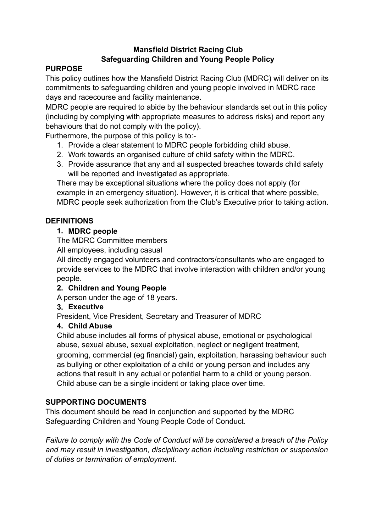### **Mansfield District Racing Club Safeguarding Children and Young People Policy**

# **PURPOSE**

This policy outlines how the Mansfield District Racing Club (MDRC) will deliver on its commitments to safeguarding children and young people involved in MDRC race days and racecourse and facility maintenance.

MDRC people are required to abide by the behaviour standards set out in this policy (including by complying with appropriate measures to address risks) and report any behaviours that do not comply with the policy).

Furthermore, the purpose of this policy is to:-

- 1. Provide a clear statement to MDRC people forbidding child abuse.
- 2. Work towards an organised culture of child safety within the MDRC.
- 3. Provide assurance that any and all suspected breaches towards child safety will be reported and investigated as appropriate.

There may be exceptional situations where the policy does not apply (for example in an emergency situation). However, it is critical that where possible, MDRC people seek authorization from the Club's Executive prior to taking action.

# **DEFINITIONS**

### **1. MDRC people**

The MDRC Committee members

All employees, including casual

All directly engaged volunteers and contractors/consultants who are engaged to provide services to the MDRC that involve interaction with children and/or young people.

## **2. Children and Young People**

A person under the age of 18 years.

## **3. Executive**

President, Vice President, Secretary and Treasurer of MDRC

#### **4. Child Abuse**

Child abuse includes all forms of physical abuse, emotional or psychological abuse, sexual abuse, sexual exploitation, neglect or negligent treatment, grooming, commercial (eg financial) gain, exploitation, harassing behaviour such as bullying or other exploitation of a child or young person and includes any actions that result in any actual or potential harm to a child or young person. Child abuse can be a single incident or taking place over time.

## **SUPPORTING DOCUMENTS**

This document should be read in conjunction and supported by the MDRC Safeguarding Children and Young People Code of Conduct.

*Failure to comply with the Code of Conduct will be considered a breach of the Policy and may result in investigation, disciplinary action including restriction or suspension of duties or termination of employment.*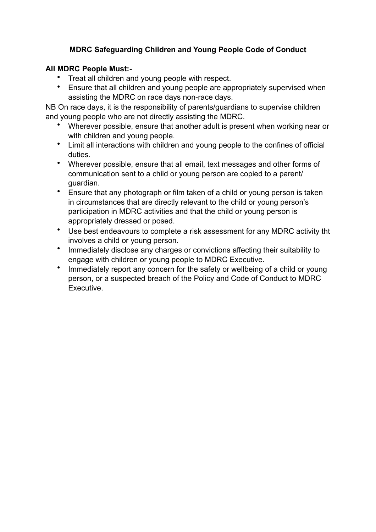## **MDRC Safeguarding Children and Young People Code of Conduct**

### **All MDRC People Must:-**

- Treat all children and young people with respect.
- Ensure that all children and young people are appropriately supervised when assisting the MDRC on race days non-race days.

NB On race days, it is the responsibility of parents/guardians to supervise children and young people who are not directly assisting the MDRC.

- Wherever possible, ensure that another adult is present when working near or with children and young people.
- Limit all interactions with children and young people to the confines of official duties.
- Wherever possible, ensure that all email, text messages and other forms of communication sent to a child or young person are copied to a parent/ guardian.
- Ensure that any photograph or film taken of a child or young person is taken in circumstances that are directly relevant to the child or young person's participation in MDRC activities and that the child or young person is appropriately dressed or posed.
- Use best endeavours to complete a risk assessment for any MDRC activity tht involves a child or young person.
- Immediately disclose any charges or convictions affecting their suitability to engage with children or young people to MDRC Executive.
- Immediately report any concern for the safety or wellbeing of a child or young person, or a suspected breach of the Policy and Code of Conduct to MDRC Executive.